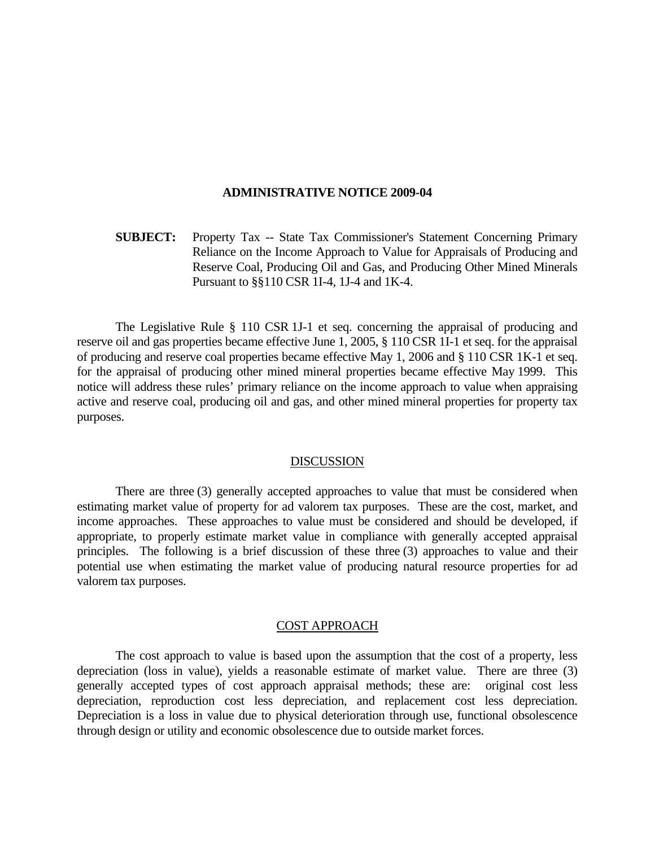#### **ADMINISTRATIVE NOTICE 2009-04**

**SUBJECT:** Property Tax -- State Tax Commissioner's Statement Concerning Primary Reliance on the Income Approach to Value for Appraisals of Producing and Reserve Coal, Producing Oil and Gas, and Producing Other Mined Minerals Pursuant to §§110 CSR 1I-4, 1J-4 and 1K-4.

 The Legislative Rule § 110 CSR 1J-1 et seq. concerning the appraisal of producing and reserve oil and gas properties became effective June 1, 2005, § 110 CSR 1I-1 et seq. for the appraisal of producing and reserve coal properties became effective May 1, 2006 and § 110 CSR 1K-1 et seq. for the appraisal of producing other mined mineral properties became effective May 1999. This notice will address these rules' primary reliance on the income approach to value when appraising active and reserve coal, producing oil and gas, and other mined mineral properties for property tax purposes.

#### DISCUSSION

 There are three (3) generally accepted approaches to value that must be considered when estimating market value of property for ad valorem tax purposes. These are the cost, market, and income approaches. These approaches to value must be considered and should be developed, if appropriate, to properly estimate market value in compliance with generally accepted appraisal principles. The following is a brief discussion of these three (3) approaches to value and their potential use when estimating the market value of producing natural resource properties for ad valorem tax purposes.

### COST APPROACH

 The cost approach to value is based upon the assumption that the cost of a property, less depreciation (loss in value), yields a reasonable estimate of market value. There are three (3) generally accepted types of cost approach appraisal methods; these are: original cost less depreciation, reproduction cost less depreciation, and replacement cost less depreciation. Depreciation is a loss in value due to physical deterioration through use, functional obsolescence through design or utility and economic obsolescence due to outside market forces.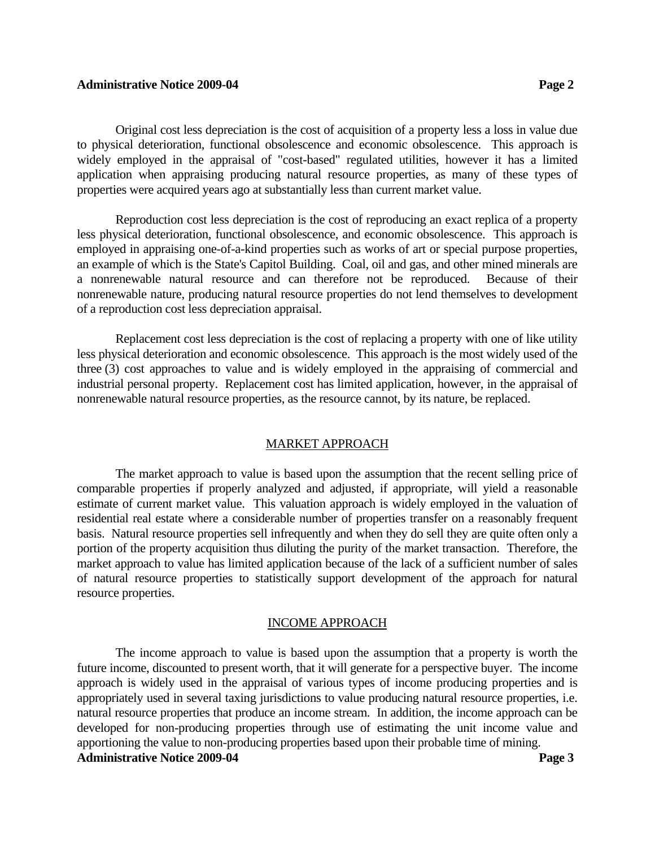## **Administrative Notice 2009-04 Page 2** Page 2

Original cost less depreciation is the cost of acquisition of a property less a loss in value due to physical deterioration, functional obsolescence and economic obsolescence. This approach is widely employed in the appraisal of "cost-based" regulated utilities, however it has a limited application when appraising producing natural resource properties, as many of these types of properties were acquired years ago at substantially less than current market value.

 Reproduction cost less depreciation is the cost of reproducing an exact replica of a property less physical deterioration, functional obsolescence, and economic obsolescence. This approach is employed in appraising one-of-a-kind properties such as works of art or special purpose properties, an example of which is the State's Capitol Building. Coal, oil and gas, and other mined minerals are a nonrenewable natural resource and can therefore not be reproduced. Because of their nonrenewable nature, producing natural resource properties do not lend themselves to development of a reproduction cost less depreciation appraisal.

 Replacement cost less depreciation is the cost of replacing a property with one of like utility less physical deterioration and economic obsolescence. This approach is the most widely used of the three (3) cost approaches to value and is widely employed in the appraising of commercial and industrial personal property. Replacement cost has limited application, however, in the appraisal of nonrenewable natural resource properties, as the resource cannot, by its nature, be replaced.

# MARKET APPROACH

 The market approach to value is based upon the assumption that the recent selling price of comparable properties if properly analyzed and adjusted, if appropriate, will yield a reasonable estimate of current market value. This valuation approach is widely employed in the valuation of residential real estate where a considerable number of properties transfer on a reasonably frequent basis. Natural resource properties sell infrequently and when they do sell they are quite often only a portion of the property acquisition thus diluting the purity of the market transaction. Therefore, the market approach to value has limited application because of the lack of a sufficient number of sales of natural resource properties to statistically support development of the approach for natural resource properties.

# INCOME APPROACH

 The income approach to value is based upon the assumption that a property is worth the future income, discounted to present worth, that it will generate for a perspective buyer. The income approach is widely used in the appraisal of various types of income producing properties and is appropriately used in several taxing jurisdictions to value producing natural resource properties, i.e. natural resource properties that produce an income stream. In addition, the income approach can be developed for non-producing properties through use of estimating the unit income value and apportioning the value to non-producing properties based upon their probable time of mining. **Administrative Notice 2009-04 Page 3**